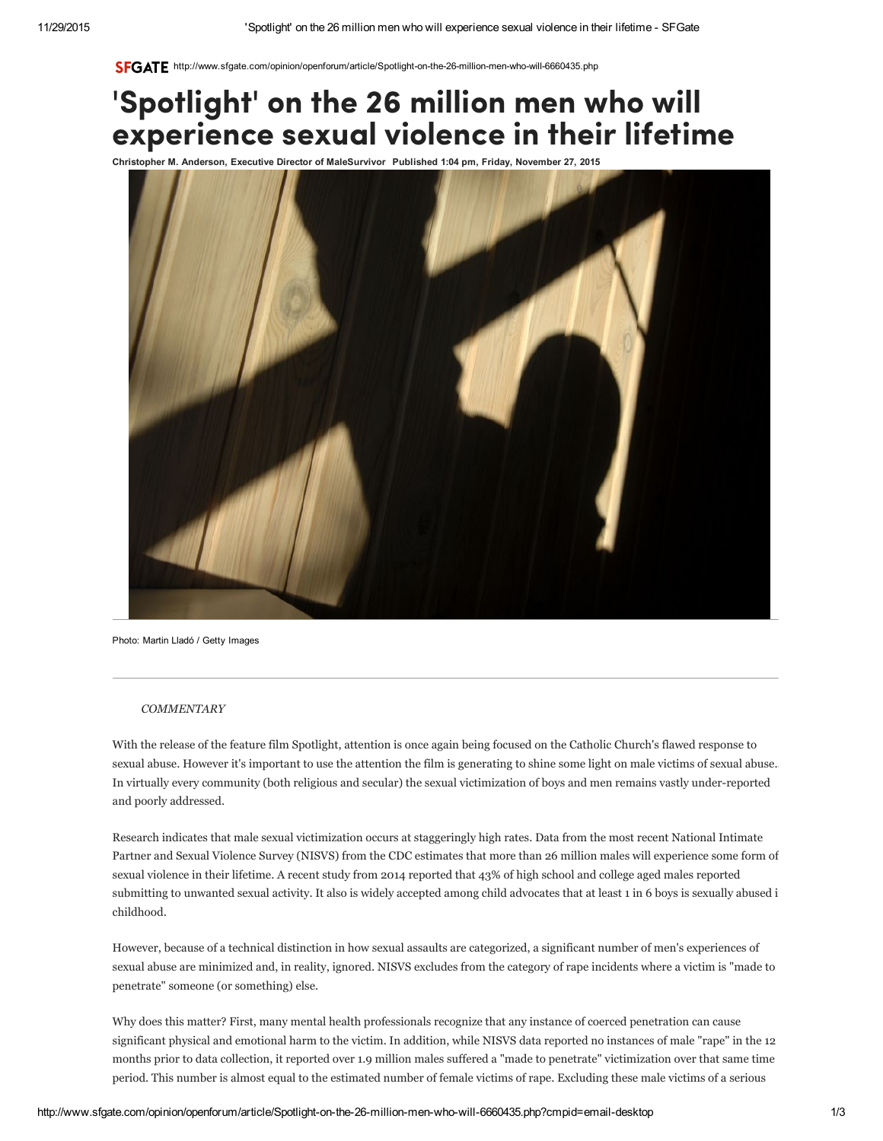SFGATE http://www.sfgate.com/opinion/openforum/article/Spotlight-on-the-26-million-men-who-will-6660435.php

## 'Spotlight' on the 26 million men who will experience sexual violence in their lifetime

Christopher M. Anderson, Executive Director of MaleSurvivor Published 1:04 pm, Friday, November 27, 2015



Photo: Martin Lladó / Getty Images

## **COMMENTARY**

With the release of the feature film Spotlight, attention is once again being focused on the Catholic Church's flawed response to sexual abuse. However it's important to use the attention the film is generating to shine some light on male victims of sexual abuse.. In virtually every community (both religious and secular) the sexual victimization of boys and men remains vastly under-reported and poorly addressed.

Research indicates that male sexual victimization occurs at staggeringly high rates. Data from the most recent National Intimate Partner and Sexual Violence Survey (NISVS) from the CDC estimates that more than 26 million males will experience some form of sexual violence in their lifetime. A recent study from 2014 reported that 43% of high school and college aged males reported submitting to unwanted sexual activity. It also is widely accepted among child advocates that at least 1 in 6 boys is sexually abused i childhood.

However, because of a technical distinction in how sexual assaults are categorized, a significant number of men's experiences of sexual abuse are minimized and, in reality, ignored. NISVS excludes from the category of rape incidents where a victim is "made to penetrate" someone (or something) else.

Why does this matter? First, many mental health professionals recognize that any instance of coerced penetration can cause significant physical and emotional harm to the victim. In addition, while NISVS data reported no instances of male "rape" in the 12 months prior to data collection, it reported over 1.9 million males suffered a "made to penetrate" victimization over that same time period. This number is almost equal to the estimated number of female victims of rape. Excluding these male victims of a serious